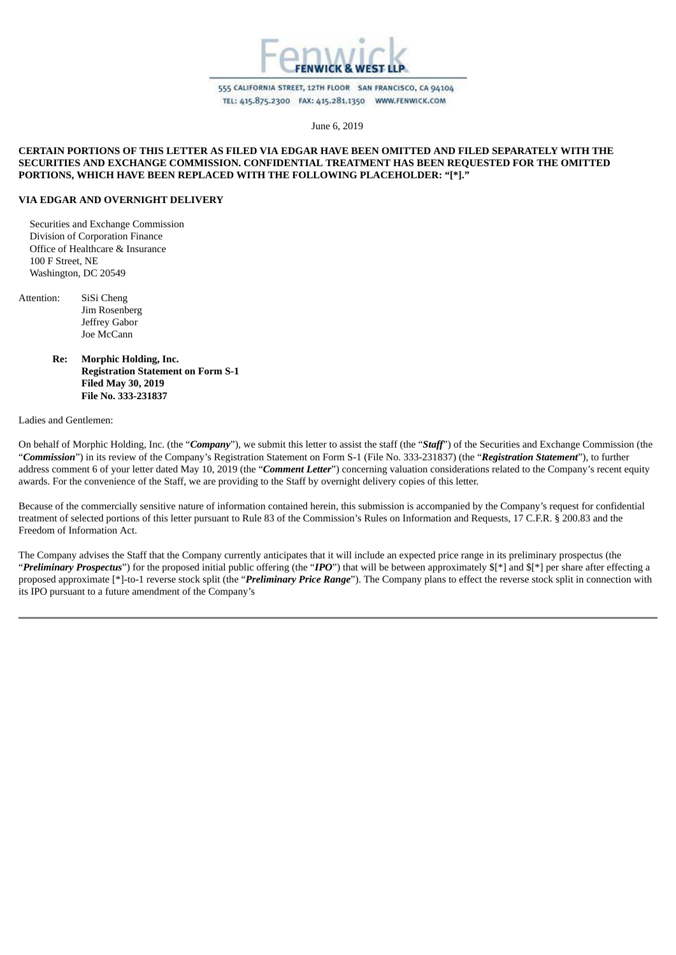

555 CALIFORNIA STREET, 12TH FLOOR SAN FRANCISCO, CA 94104 TEL: 415.875.2300 FAX: 415.281.1350 WWW.FENWICK.COM

June 6, 2019

## **CERTAIN PORTIONS OF THIS LETTER AS FILED VIA EDGAR HAVE BEEN OMITTED AND FILED SEPARATELY WITH THE SECURITIES AND EXCHANGE COMMISSION. CONFIDENTIAL TREATMENT HAS BEEN REQUESTED FOR THE OMITTED PORTIONS, WHICH HAVE BEEN REPLACED WITH THE FOLLOWING PLACEHOLDER: "[\*]."**

### **VIA EDGAR AND OVERNIGHT DELIVERY**

Securities and Exchange Commission Division of Corporation Finance Office of Healthcare & Insurance 100 F Street, NE Washington, DC 20549

- Attention: SiSi Cheng Jim Rosenberg Jeffrey Gabor Joe McCann
	- **Re: Morphic Holding, Inc. Registration Statement on Form S-1 Filed May 30, 2019 File No. 333-231837**

## Ladies and Gentlemen:

On behalf of Morphic Holding, Inc. (the "*Company*"), we submit this letter to assist the staff (the "*Staff*") of the Securities and Exchange Commission (the "*Commission*") in its review of the Company's Registration Statement on Form S-1 (File No. 333-231837) (the "*Registration Statement*"), to further address comment 6 of your letter dated May 10, 2019 (the "*Comment Letter*") concerning valuation considerations related to the Company's recent equity awards. For the convenience of the Staff, we are providing to the Staff by overnight delivery copies of this letter.

Because of the commercially sensitive nature of information contained herein, this submission is accompanied by the Company's request for confidential treatment of selected portions of this letter pursuant to Rule 83 of the Commission's Rules on Information and Requests, 17 C.F.R. § 200.83 and the Freedom of Information Act.

The Company advises the Staff that the Company currently anticipates that it will include an expected price range in its preliminary prospectus (the "*Preliminary Prospectus*") for the proposed initial public offering (the "*IPO*") that will be between approximately \$[\*] and \$[\*] per share after effecting a proposed approximate [\*]-to-1 reverse stock split (the "*Preliminary Price Range*"). The Company plans to effect the reverse stock split in connection with its IPO pursuant to a future amendment of the Company's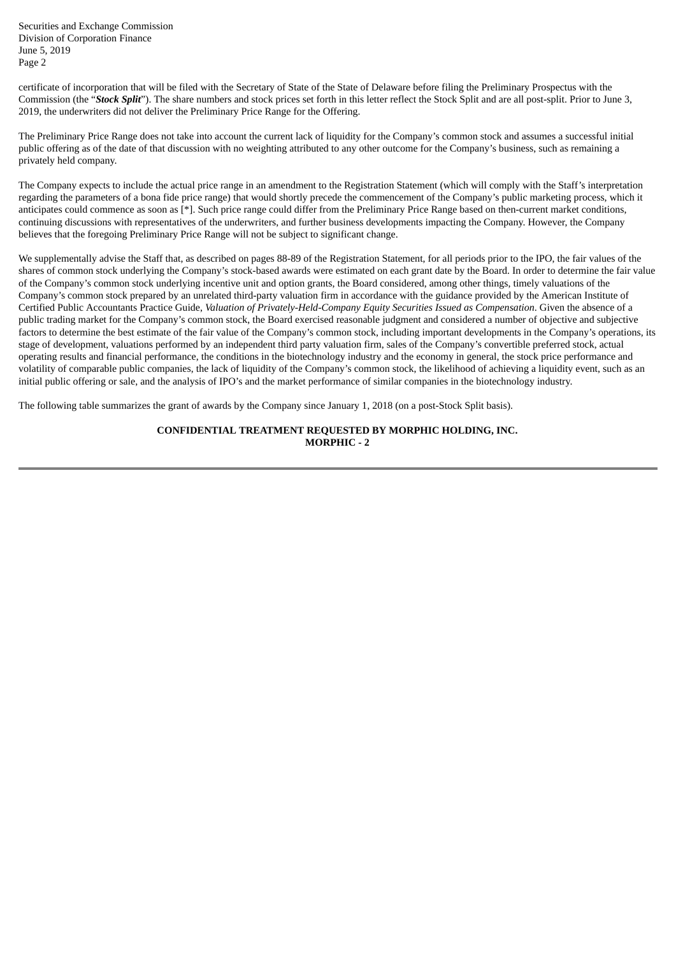certificate of incorporation that will be filed with the Secretary of State of the State of Delaware before filing the Preliminary Prospectus with the Commission (the "*Stock Split*"). The share numbers and stock prices set forth in this letter reflect the Stock Split and are all post-split. Prior to June 3, 2019, the underwriters did not deliver the Preliminary Price Range for the Offering.

The Preliminary Price Range does not take into account the current lack of liquidity for the Company's common stock and assumes a successful initial public offering as of the date of that discussion with no weighting attributed to any other outcome for the Company's business, such as remaining a privately held company.

The Company expects to include the actual price range in an amendment to the Registration Statement (which will comply with the Staff's interpretation regarding the parameters of a bona fide price range) that would shortly precede the commencement of the Company's public marketing process, which it anticipates could commence as soon as [\*]. Such price range could differ from the Preliminary Price Range based on then-current market conditions, continuing discussions with representatives of the underwriters, and further business developments impacting the Company. However, the Company believes that the foregoing Preliminary Price Range will not be subject to significant change.

We supplementally advise the Staff that, as described on pages 88-89 of the Registration Statement, for all periods prior to the IPO, the fair values of the shares of common stock underlying the Company's stock-based awards were estimated on each grant date by the Board. In order to determine the fair value of the Company's common stock underlying incentive unit and option grants, the Board considered, among other things, timely valuations of the Company's common stock prepared by an unrelated third-party valuation firm in accordance with the guidance provided by the American Institute of Certified Public Accountants Practice Guide, *Valuation of Privately-Held-Company Equity Securities Issued as Compensation*. Given the absence of a public trading market for the Company's common stock, the Board exercised reasonable judgment and considered a number of objective and subjective factors to determine the best estimate of the fair value of the Company's common stock, including important developments in the Company's operations, its stage of development, valuations performed by an independent third party valuation firm, sales of the Company's convertible preferred stock, actual operating results and financial performance, the conditions in the biotechnology industry and the economy in general, the stock price performance and volatility of comparable public companies, the lack of liquidity of the Company's common stock, the likelihood of achieving a liquidity event, such as an initial public offering or sale, and the analysis of IPO's and the market performance of similar companies in the biotechnology industry.

The following table summarizes the grant of awards by the Company since January 1, 2018 (on a post-Stock Split basis).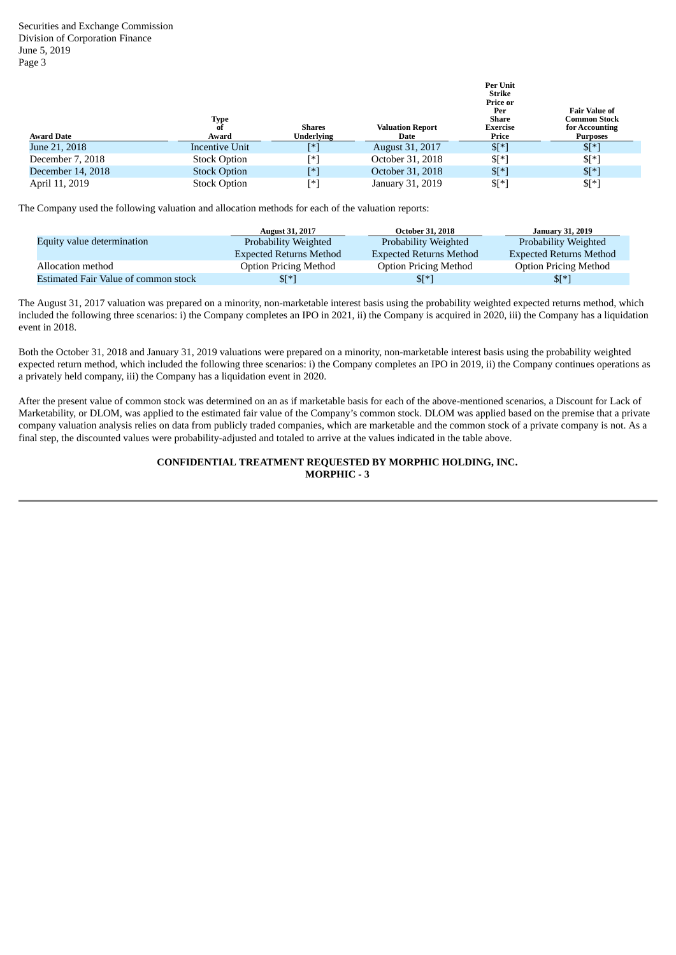| <b>Award Date</b> | Type<br>0t<br>Award | <b>Shares</b><br><b>Underlying</b> | <b>Valuation Report</b><br>Date | Per Unit<br>Strike<br>Price or<br>Per<br>Share<br>Exercise<br>Price | <b>Fair Value of</b><br>Common Stock<br>for Accounting<br><b>Purposes</b> |
|-------------------|---------------------|------------------------------------|---------------------------------|---------------------------------------------------------------------|---------------------------------------------------------------------------|
| June 21, 2018     | Incentive Unit      | [*]                                | August 31, 2017                 | $$[*]$                                                              | $\sqrt{5}$ [ $*$ ]                                                        |
| December 7, 2018  | <b>Stock Option</b> | ſ∗`                                | October 31, 2018                | $\mathbb{S}[^*]$                                                    | $$[*]$                                                                    |
| December 14, 2018 | <b>Stock Option</b> | [*]                                | October 31, 2018                | $\mathbb{S}[^*]$                                                    | $\sqrt{5}$ [*]                                                            |
| April 11, 2019    | <b>Stock Option</b> | [∗`                                | January 31, 2019                | $$[^*]$                                                             | $\mathbb{S}[^*]$                                                          |

The Company used the following valuation and allocation methods for each of the valuation reports:

|                                      | <b>August 31, 2017</b>         | <b>October 31, 2018</b>        | <b>January 31, 2019</b>        |
|--------------------------------------|--------------------------------|--------------------------------|--------------------------------|
| <b>Equity value determination</b>    | Probability Weighted           | Probability Weighted           | Probability Weighted           |
|                                      | <b>Expected Returns Method</b> | <b>Expected Returns Method</b> | <b>Expected Returns Method</b> |
| Allocation method                    | <b>Option Pricing Method</b>   | <b>Option Pricing Method</b>   | <b>Option Pricing Method</b>   |
| Estimated Fair Value of common stock | $\mathbb{S}[\ast]$             | $\sqrt{\frac{1}{2}}$           | $\mathbb{S}^{[*]}$             |

The August 31, 2017 valuation was prepared on a minority, non-marketable interest basis using the probability weighted expected returns method, which included the following three scenarios: i) the Company completes an IPO in 2021, ii) the Company is acquired in 2020, iii) the Company has a liquidation event in 2018.

Both the October 31, 2018 and January 31, 2019 valuations were prepared on a minority, non-marketable interest basis using the probability weighted expected return method, which included the following three scenarios: i) the Company completes an IPO in 2019, ii) the Company continues operations as a privately held company, iii) the Company has a liquidation event in 2020.

After the present value of common stock was determined on an as if marketable basis for each of the above-mentioned scenarios, a Discount for Lack of Marketability, or DLOM, was applied to the estimated fair value of the Company's common stock. DLOM was applied based on the premise that a private company valuation analysis relies on data from publicly traded companies, which are marketable and the common stock of a private company is not. As a final step, the discounted values were probability-adjusted and totaled to arrive at the values indicated in the table above.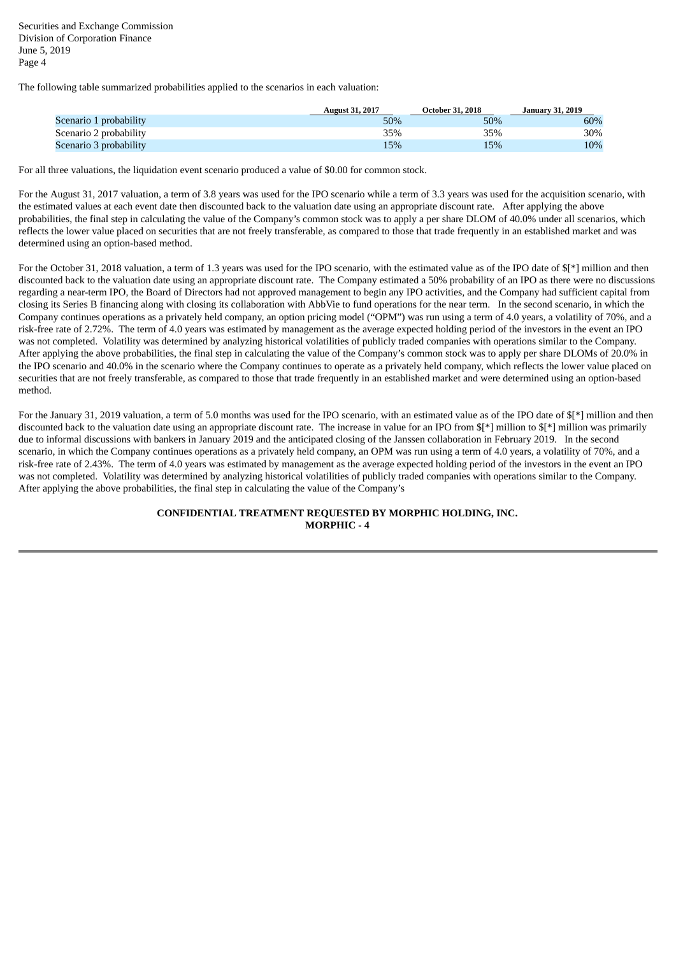The following table summarized probabilities applied to the scenarios in each valuation:

|                        | <b>August 31, 2017</b> | <b>October 31, 2018</b> | <b>January 31, 2019</b> |
|------------------------|------------------------|-------------------------|-------------------------|
| Scenario 1 probability | 50%                    | 50%                     | 60%                     |
| Scenario 2 probability | 35%                    | 35%                     | 30%                     |
| Scenario 3 probability | 15%                    | 15%                     | 10%                     |

For all three valuations, the liquidation event scenario produced a value of \$0.00 for common stock.

For the August 31, 2017 valuation, a term of 3.8 years was used for the IPO scenario while a term of 3.3 years was used for the acquisition scenario, with the estimated values at each event date then discounted back to the valuation date using an appropriate discount rate. After applying the above probabilities, the final step in calculating the value of the Company's common stock was to apply a per share DLOM of 40.0% under all scenarios, which reflects the lower value placed on securities that are not freely transferable, as compared to those that trade frequently in an established market and was determined using an option-based method.

For the October 31, 2018 valuation, a term of 1.3 years was used for the IPO scenario, with the estimated value as of the IPO date of  $I^*$ ] million and then discounted back to the valuation date using an appropriate discount rate. The Company estimated a 50% probability of an IPO as there were no discussions regarding a near-term IPO, the Board of Directors had not approved management to begin any IPO activities, and the Company had sufficient capital from closing its Series B financing along with closing its collaboration with AbbVie to fund operations for the near term. In the second scenario, in which the Company continues operations as a privately held company, an option pricing model ("OPM") was run using a term of 4.0 years, a volatility of 70%, and a risk-free rate of 2.72%. The term of 4.0 years was estimated by management as the average expected holding period of the investors in the event an IPO was not completed. Volatility was determined by analyzing historical volatilities of publicly traded companies with operations similar to the Company. After applying the above probabilities, the final step in calculating the value of the Company's common stock was to apply per share DLOMs of 20.0% in the IPO scenario and 40.0% in the scenario where the Company continues to operate as a privately held company, which reflects the lower value placed on securities that are not freely transferable, as compared to those that trade frequently in an established market and were determined using an option-based method.

For the January 31, 2019 valuation, a term of 5.0 months was used for the IPO scenario, with an estimated value as of the IPO date of  $[$ \*] million and then discounted back to the valuation date using an appropriate discount rate. The increase in value for an IPO from  $\frac{1}{2}$  million to  $\frac{1}{2}$  million was primarily due to informal discussions with bankers in January 2019 and the anticipated closing of the Janssen collaboration in February 2019. In the second scenario, in which the Company continues operations as a privately held company, an OPM was run using a term of 4.0 years, a volatility of 70%, and a risk-free rate of 2.43%. The term of 4.0 years was estimated by management as the average expected holding period of the investors in the event an IPO was not completed. Volatility was determined by analyzing historical volatilities of publicly traded companies with operations similar to the Company. After applying the above probabilities, the final step in calculating the value of the Company's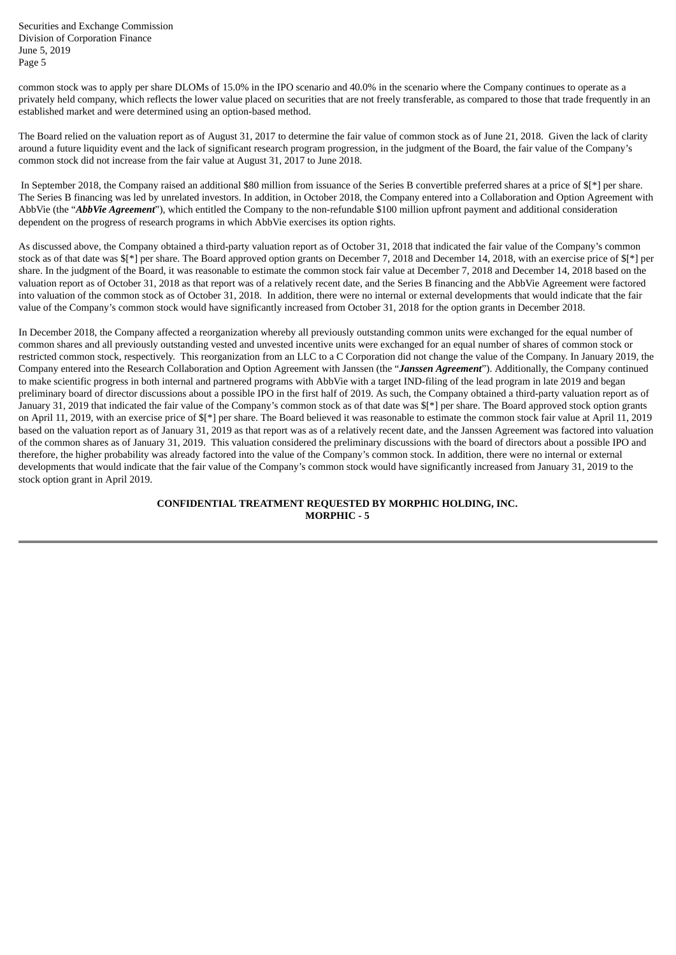common stock was to apply per share DLOMs of 15.0% in the IPO scenario and 40.0% in the scenario where the Company continues to operate as a privately held company, which reflects the lower value placed on securities that are not freely transferable, as compared to those that trade frequently in an established market and were determined using an option-based method.

The Board relied on the valuation report as of August 31, 2017 to determine the fair value of common stock as of June 21, 2018. Given the lack of clarity around a future liquidity event and the lack of significant research program progression, in the judgment of the Board, the fair value of the Company's common stock did not increase from the fair value at August 31, 2017 to June 2018.

In September 2018, the Company raised an additional \$80 million from issuance of the Series B convertible preferred shares at a price of  $\mathbb{S}^*$ ] per share. The Series B financing was led by unrelated investors. In addition, in October 2018, the Company entered into a Collaboration and Option Agreement with AbbVie (the "*AbbVie Agreement*"), which entitled the Company to the non-refundable \$100 million upfront payment and additional consideration dependent on the progress of research programs in which AbbVie exercises its option rights.

As discussed above, the Company obtained a third-party valuation report as of October 31, 2018 that indicated the fair value of the Company's common stock as of that date was  $f*$  per share. The Board approved option grants on December 7, 2018 and December 14, 2018, with an exercise price of  $f*$  per share. In the judgment of the Board, it was reasonable to estimate the common stock fair value at December 7, 2018 and December 14, 2018 based on the valuation report as of October 31, 2018 as that report was of a relatively recent date, and the Series B financing and the AbbVie Agreement were factored into valuation of the common stock as of October 31, 2018. In addition, there were no internal or external developments that would indicate that the fair value of the Company's common stock would have significantly increased from October 31, 2018 for the option grants in December 2018.

In December 2018, the Company affected a reorganization whereby all previously outstanding common units were exchanged for the equal number of common shares and all previously outstanding vested and unvested incentive units were exchanged for an equal number of shares of common stock or restricted common stock, respectively. This reorganization from an LLC to a C Corporation did not change the value of the Company. In January 2019, the Company entered into the Research Collaboration and Option Agreement with Janssen (the "*Janssen Agreement*"). Additionally, the Company continued to make scientific progress in both internal and partnered programs with AbbVie with a target IND-filing of the lead program in late 2019 and began preliminary board of director discussions about a possible IPO in the first half of 2019. As such, the Company obtained a third-party valuation report as of January 31, 2019 that indicated the fair value of the Company's common stock as of that date was \$[\*] per share. The Board approved stock option grants on April 11, 2019, with an exercise price of \$[\*] per share. The Board believed it was reasonable to estimate the common stock fair value at April 11, 2019 based on the valuation report as of January 31, 2019 as that report was as of a relatively recent date, and the Janssen Agreement was factored into valuation of the common shares as of January 31, 2019. This valuation considered the preliminary discussions with the board of directors about a possible IPO and therefore, the higher probability was already factored into the value of the Company's common stock. In addition, there were no internal or external developments that would indicate that the fair value of the Company's common stock would have significantly increased from January 31, 2019 to the stock option grant in April 2019.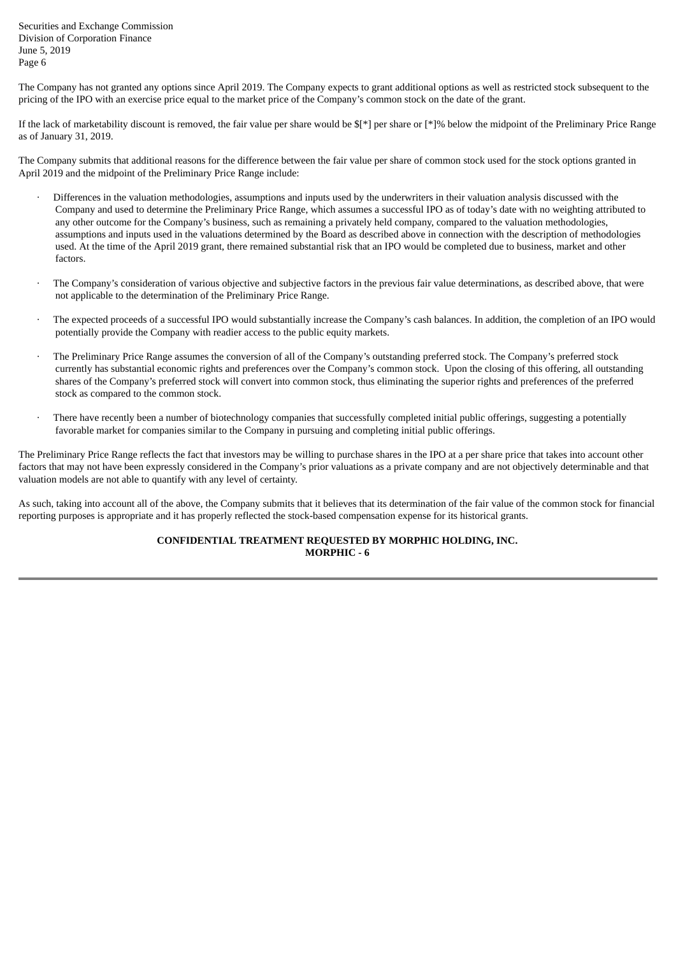The Company has not granted any options since April 2019. The Company expects to grant additional options as well as restricted stock subsequent to the pricing of the IPO with an exercise price equal to the market price of the Company's common stock on the date of the grant.

If the lack of marketability discount is removed, the fair value per share would be  $\frac{1}{2}$  per share or  $\frac{1}{2}$  below the midpoint of the Preliminary Price Range as of January 31, 2019.

The Company submits that additional reasons for the difference between the fair value per share of common stock used for the stock options granted in April 2019 and the midpoint of the Preliminary Price Range include:

- · Differences in the valuation methodologies, assumptions and inputs used by the underwriters in their valuation analysis discussed with the Company and used to determine the Preliminary Price Range, which assumes a successful IPO as of today's date with no weighting attributed to any other outcome for the Company's business, such as remaining a privately held company, compared to the valuation methodologies, assumptions and inputs used in the valuations determined by the Board as described above in connection with the description of methodologies used. At the time of the April 2019 grant, there remained substantial risk that an IPO would be completed due to business, market and other factors.
- · The Company's consideration of various objective and subjective factors in the previous fair value determinations, as described above, that were not applicable to the determination of the Preliminary Price Range.
- · The expected proceeds of a successful IPO would substantially increase the Company's cash balances. In addition, the completion of an IPO would potentially provide the Company with readier access to the public equity markets.
- · The Preliminary Price Range assumes the conversion of all of the Company's outstanding preferred stock. The Company's preferred stock currently has substantial economic rights and preferences over the Company's common stock. Upon the closing of this offering, all outstanding shares of the Company's preferred stock will convert into common stock, thus eliminating the superior rights and preferences of the preferred stock as compared to the common stock.
- There have recently been a number of biotechnology companies that successfully completed initial public offerings, suggesting a potentially favorable market for companies similar to the Company in pursuing and completing initial public offerings.

The Preliminary Price Range reflects the fact that investors may be willing to purchase shares in the IPO at a per share price that takes into account other factors that may not have been expressly considered in the Company's prior valuations as a private company and are not objectively determinable and that valuation models are not able to quantify with any level of certainty.

As such, taking into account all of the above, the Company submits that it believes that its determination of the fair value of the common stock for financial reporting purposes is appropriate and it has properly reflected the stock-based compensation expense for its historical grants.